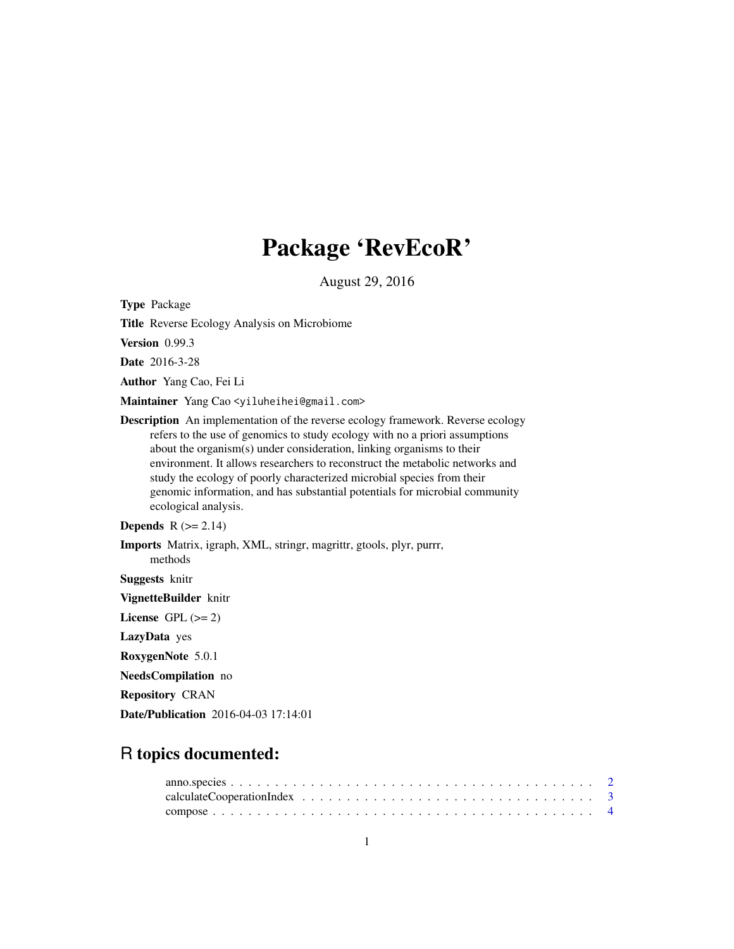# Package 'RevEcoR'

August 29, 2016

<span id="page-0-0"></span>Type Package

Title Reverse Ecology Analysis on Microbiome

Version 0.99.3

Date 2016-3-28

Author Yang Cao, Fei Li

Maintainer Yang Cao <yiluheihei@gmail.com>

Description An implementation of the reverse ecology framework. Reverse ecology refers to the use of genomics to study ecology with no a priori assumptions about the organism(s) under consideration, linking organisms to their environment. It allows researchers to reconstruct the metabolic networks and study the ecology of poorly characterized microbial species from their genomic information, and has substantial potentials for microbial community ecological analysis.

### Depends  $R$  ( $>= 2.14$ )

Imports Matrix, igraph, XML, stringr, magrittr, gtools, plyr, purrr, methods

Suggests knitr

VignetteBuilder knitr

License GPL  $(>= 2)$ 

LazyData yes

RoxygenNote 5.0.1

NeedsCompilation no

Repository CRAN

Date/Publication 2016-04-03 17:14:01

## R topics documented: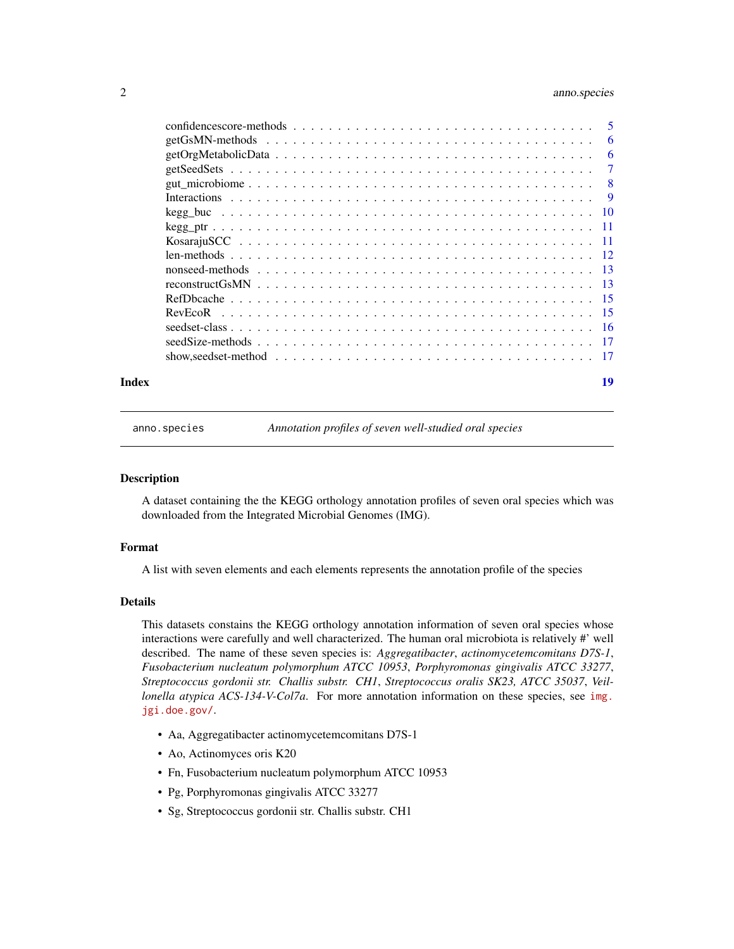## <span id="page-1-0"></span>2 anno.species

|       | -6 |
|-------|----|
|       |    |
|       |    |
|       |    |
|       |    |
|       |    |
|       |    |
|       |    |
|       |    |
|       |    |
|       |    |
|       |    |
|       |    |
|       |    |
|       |    |
| Index | 19 |

anno.species *Annotation profiles of seven well-studied oral species*

#### Description

A dataset containing the the KEGG orthology annotation profiles of seven oral species which was downloaded from the Integrated Microbial Genomes (IMG).

#### Format

A list with seven elements and each elements represents the annotation profile of the species

#### Details

This datasets constains the KEGG orthology annotation information of seven oral species whose interactions were carefully and well characterized. The human oral microbiota is relatively #' well described. The name of these seven species is: *Aggregatibacter*, *actinomycetemcomitans D7S-1*, *Fusobacterium nucleatum polymorphum ATCC 10953*, *Porphyromonas gingivalis ATCC 33277*, *Streptococcus gordonii str. Challis substr. CH1*, *Streptococcus oralis SK23, ATCC 35037*, *Veillonella atypica ACS-134-V-Col7a*. For more annotation information on these species, see [img.](img.jgi.doe.gov/) [jgi.doe.gov/](img.jgi.doe.gov/).

- Aa, Aggregatibacter actinomycetemcomitans D7S-1
- Ao, Actinomyces oris K20
- Fn, Fusobacterium nucleatum polymorphum ATCC 10953
- Pg, Porphyromonas gingivalis ATCC 33277
- Sg, Streptococcus gordonii str. Challis substr. CH1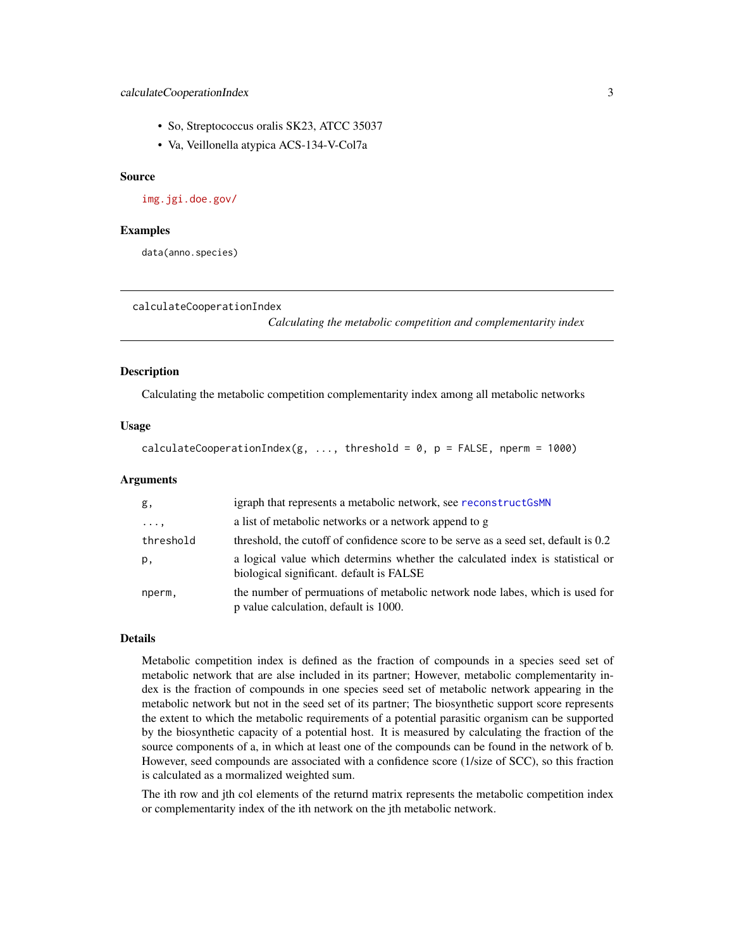- <span id="page-2-0"></span>• So, Streptococcus oralis SK23, ATCC 35037
- Va, Veillonella atypica ACS-134-V-Col7a

#### Source

<img.jgi.doe.gov/>

#### Examples

data(anno.species)

```
calculateCooperationIndex
```
*Calculating the metabolic competition and complementarity index*

#### Description

Calculating the metabolic competition complementarity index among all metabolic networks

#### Usage

```
calculateCooperationIndex(g, ..., threshold = 0, p = FALSE, nperm = 1000)
```
#### Arguments

| g,         | igraph that represents a metabolic network, see reconstruct GSMN                                                           |
|------------|----------------------------------------------------------------------------------------------------------------------------|
| $\cdots$ , | a list of metabolic networks or a network append to g                                                                      |
| threshold  | threshold, the cutoff of confidence score to be serve as a seed set, default is 0.2                                        |
| р,         | a logical value which determins whether the calculated index is statistical or<br>biological significant. default is FALSE |
| nperm,     | the number of permuations of metabolic network node labes, which is used for<br>p value calculation, default is 1000.      |

#### Details

Metabolic competition index is defined as the fraction of compounds in a species seed set of metabolic network that are alse included in its partner; However, metabolic complementarity index is the fraction of compounds in one species seed set of metabolic network appearing in the metabolic network but not in the seed set of its partner; The biosynthetic support score represents the extent to which the metabolic requirements of a potential parasitic organism can be supported by the biosynthetic capacity of a potential host. It is measured by calculating the fraction of the source components of a, in which at least one of the compounds can be found in the network of b. However, seed compounds are associated with a confidence score (1/size of SCC), so this fraction is calculated as a mormalized weighted sum.

The ith row and jth col elements of the returnd matrix represents the metabolic competition index or complementarity index of the ith network on the jth metabolic network.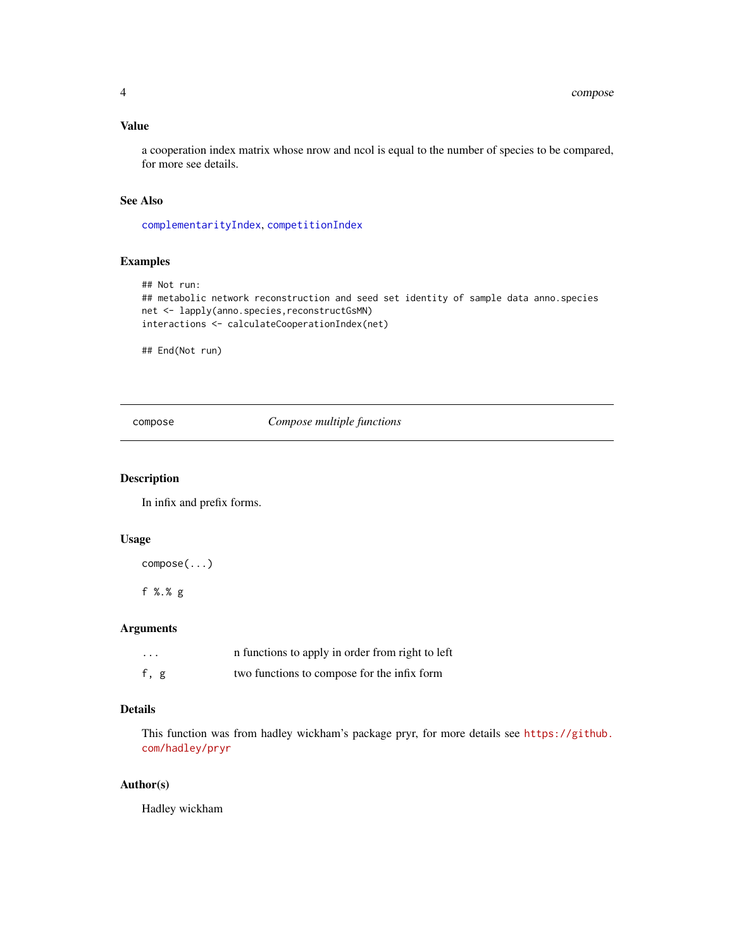#### <span id="page-3-0"></span>Value

a cooperation index matrix whose nrow and ncol is equal to the number of species to be compared, for more see details.

#### See Also

[complementarityIndex](#page-8-1), [competitionIndex](#page-8-1)

## Examples

```
## Not run:
## metabolic network reconstruction and seed set identity of sample data anno.species
net <- lapply(anno.species,reconstructGsMN)
interactions <- calculateCooperationIndex(net)
```
## End(Not run)

compose *Compose multiple functions*

#### Description

In infix and prefix forms.

#### Usage

compose(...)

f %.% g

#### Arguments

| $\cdots$ | in functions to apply in order from right to left |
|----------|---------------------------------------------------|
| f, g     | two functions to compose for the infix form       |

## Details

This function was from hadley wickham's package pryr, for more details see [https://github.](https://github.com/hadley/pryr) [com/hadley/pryr](https://github.com/hadley/pryr)

## Author(s)

Hadley wickham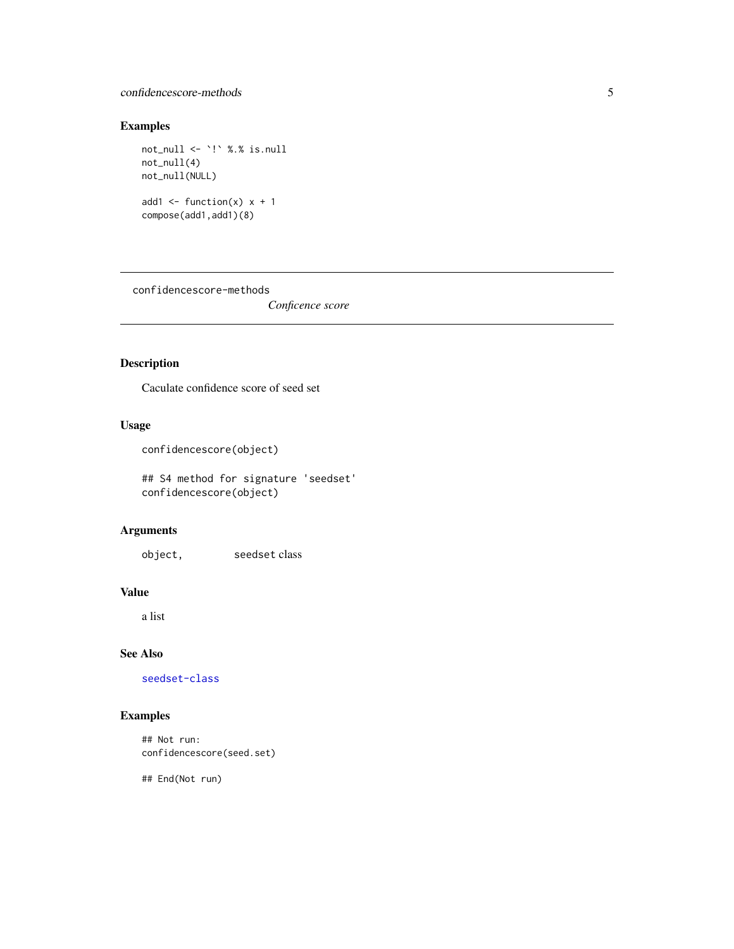## <span id="page-4-0"></span>confidencescore-methods 5

## Examples

```
not_null <- `!` %.% is.null
not_null(4)
not_null(NULL)
add1 <- function(x) x + 1compose(add1,add1)(8)
```
confidencescore-methods

*Conficence score*

## <span id="page-4-1"></span>Description

Caculate confidence score of seed set

## Usage

```
confidencescore(object)
```
## S4 method for signature 'seedset' confidencescore(object)

## Arguments

object, seedset class

#### Value

a list

## See Also

[seedset-class](#page-15-1)

## Examples

## Not run: confidencescore(seed.set)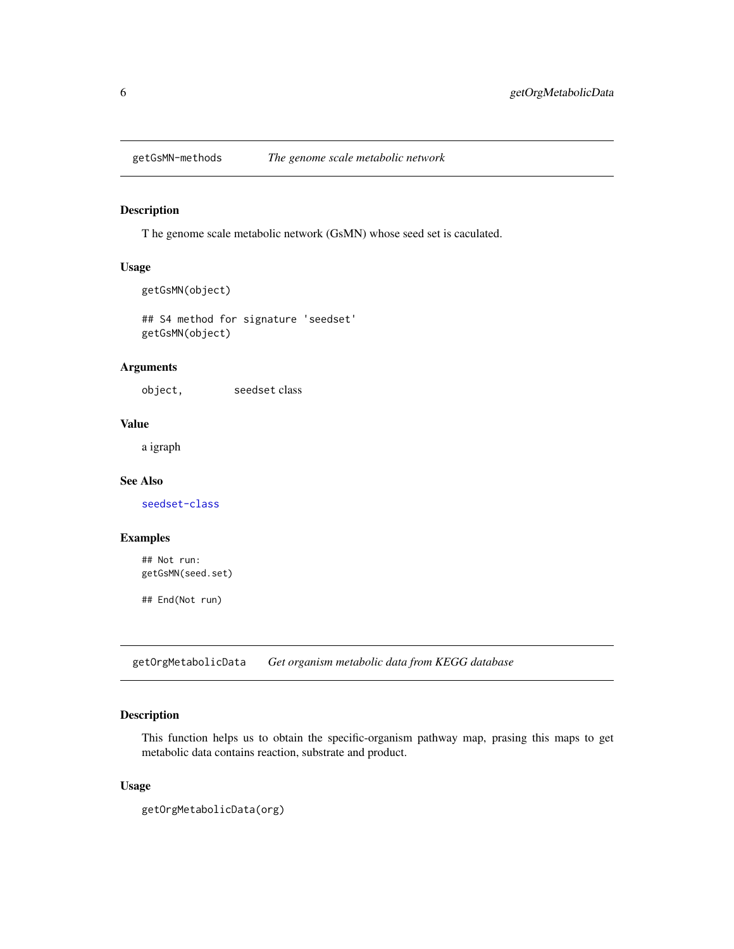<span id="page-5-0"></span>

## <span id="page-5-2"></span>Description

T he genome scale metabolic network (GsMN) whose seed set is caculated.

## Usage

```
getGsMN(object)
```
## S4 method for signature 'seedset' getGsMN(object)

## Arguments

object, seedset class

## Value

a igraph

### See Also

[seedset-class](#page-15-1)

## Examples

## Not run: getGsMN(seed.set)

## End(Not run)

<span id="page-5-1"></span>getOrgMetabolicData *Get organism metabolic data from KEGG database*

## Description

This function helps us to obtain the specific-organism pathway map, prasing this maps to get metabolic data contains reaction, substrate and product.

## Usage

getOrgMetabolicData(org)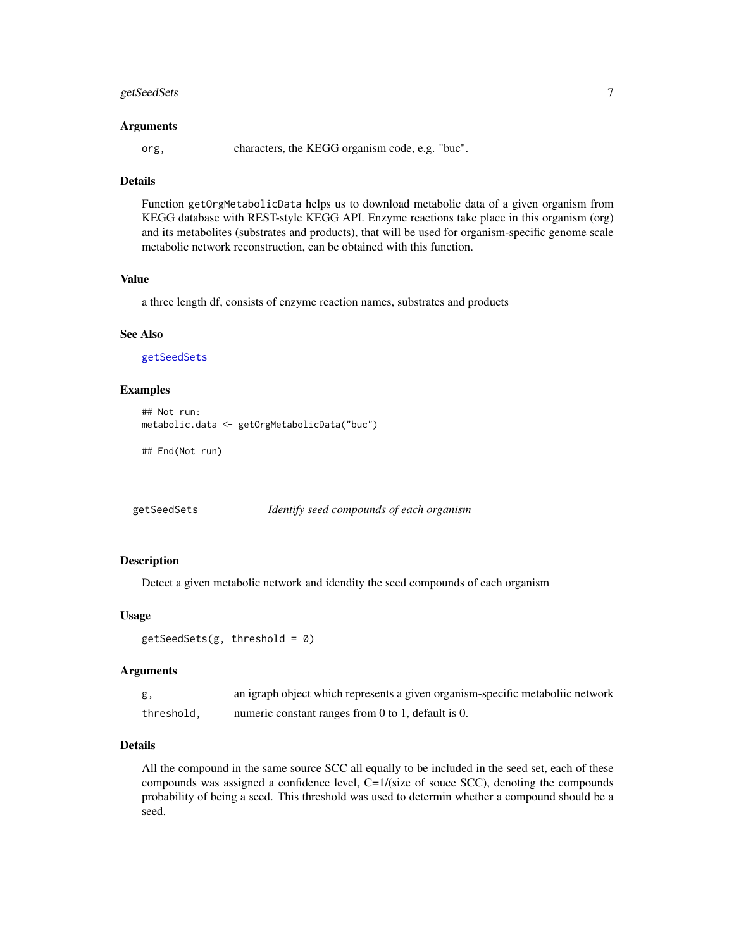## <span id="page-6-0"></span>getSeedSets 7

#### Arguments

org, characters, the KEGG organism code, e.g. "buc".

## **Details**

Function getOrgMetabolicData helps us to download metabolic data of a given organism from KEGG database with REST-style KEGG API. Enzyme reactions take place in this organism (org) and its metabolites (substrates and products), that will be used for organism-specific genome scale metabolic network reconstruction, can be obtained with this function.

## Value

a three length df, consists of enzyme reaction names, substrates and products

#### See Also

[getSeedSets](#page-6-1)

## Examples

```
## Not run:
metabolic.data <- getOrgMetabolicData("buc")
```
## End(Not run)

<span id="page-6-1"></span>getSeedSets *Identify seed compounds of each organism*

## Description

Detect a given metabolic network and idendity the seed compounds of each organism

#### Usage

```
getSeedSets(g, threshold = 0)
```
#### Arguments

| g,         | an igraph object which represents a given organism-specific metaboliic network |
|------------|--------------------------------------------------------------------------------|
| threshold, | numeric constant ranges from $0$ to 1, default is $0$ .                        |

#### Details

All the compound in the same source SCC all equally to be included in the seed set, each of these compounds was assigned a confidence level, C=1/(size of souce SCC), denoting the compounds probability of being a seed. This threshold was used to determin whether a compound should be a seed.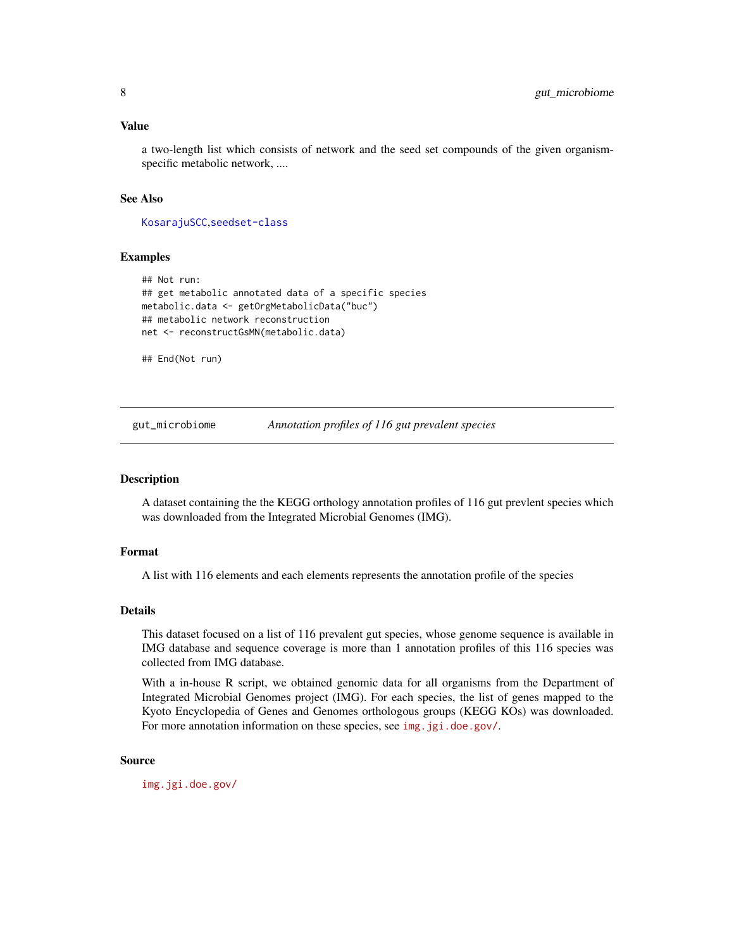#### <span id="page-7-0"></span>Value

a two-length list which consists of network and the seed set compounds of the given organismspecific metabolic network, ....

### See Also

[KosarajuSCC](#page-10-1),[seedset-class](#page-15-1)

## Examples

```
## Not run:
## get metabolic annotated data of a specific species
metabolic.data <- getOrgMetabolicData("buc")
## metabolic network reconstruction
net <- reconstructGsMN(metabolic.data)
```
## End(Not run)

gut\_microbiome *Annotation profiles of 116 gut prevalent species*

#### Description

A dataset containing the the KEGG orthology annotation profiles of 116 gut prevlent species which was downloaded from the Integrated Microbial Genomes (IMG).

#### Format

A list with 116 elements and each elements represents the annotation profile of the species

#### Details

This dataset focused on a list of 116 prevalent gut species, whose genome sequence is available in IMG database and sequence coverage is more than 1 annotation profiles of this 116 species was collected from IMG database.

With a in-house R script, we obtained genomic data for all organisms from the Department of Integrated Microbial Genomes project (IMG). For each species, the list of genes mapped to the Kyoto Encyclopedia of Genes and Genomes orthologous groups (KEGG KOs) was downloaded. For more annotation information on these species, see <img.jgi.doe.gov/>.

#### Source

<img.jgi.doe.gov/>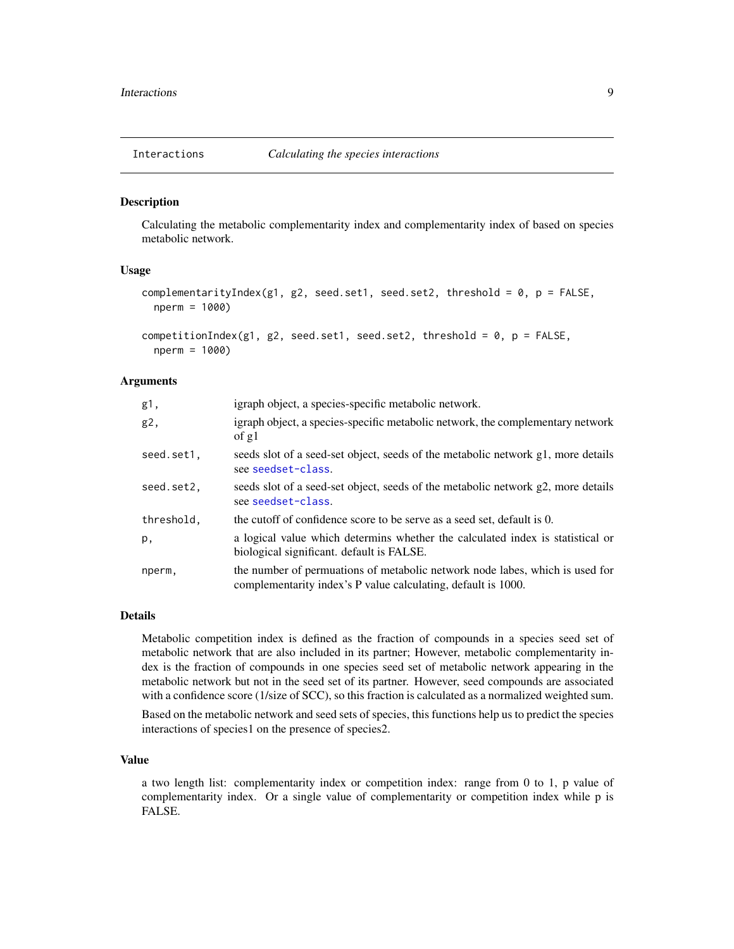<span id="page-8-0"></span>

#### <span id="page-8-1"></span>Description

Calculating the metabolic complementarity index and complementarity index of based on species metabolic network.

## Usage

```
complementarityIndex(g1, g2, seed.set1, seed.set2, threshold = 0, p = FALSE,
 nperm = 1000)
```

```
competitionIndex(g1, g2, seed.set1, seed.set2, threshold = 0, p = FALSE,
  nperm = 1000)
```
#### Arguments

| g1,        | igraph object, a species-specific metabolic network.                                                                                          |
|------------|-----------------------------------------------------------------------------------------------------------------------------------------------|
| g2,        | igraph object, a species-specific metabolic network, the complementary network<br>of $g1$                                                     |
| seed.set1, | seeds slot of a seed-set object, seeds of the metabolic network g1, more details<br>see seedset-class.                                        |
| seed.set2, | seeds slot of a seed-set object, seeds of the metabolic network g2, more details<br>see seedset-class.                                        |
| threshold, | the cutoff of confidence score to be serve as a seed set, default is 0.                                                                       |
| p,         | a logical value which determins whether the calculated index is statistical or<br>biological significant. default is FALSE.                   |
| nperm,     | the number of permuations of metabolic network node labes, which is used for<br>complementarity index's P value calculating, default is 1000. |

#### Details

Metabolic competition index is defined as the fraction of compounds in a species seed set of metabolic network that are also included in its partner; However, metabolic complementarity index is the fraction of compounds in one species seed set of metabolic network appearing in the metabolic network but not in the seed set of its partner. However, seed compounds are associated with a confidence score (1/size of SCC), so this fraction is calculated as a normalized weighted sum. Based on the metabolic network and seed sets of species, this functions help us to predict the species interactions of species1 on the presence of species2.

#### Value

a two length list: complementarity index or competition index: range from 0 to 1, p value of complementarity index. Or a single value of complementarity or competition index while p is FALSE.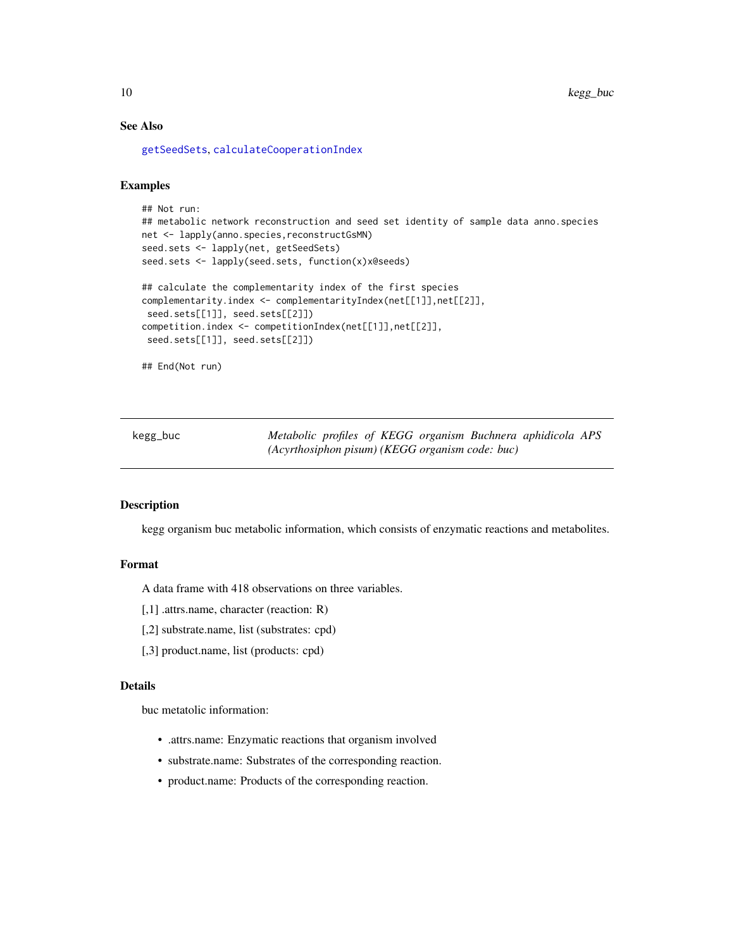## See Also

[getSeedSets](#page-6-1), [calculateCooperationIndex](#page-2-1)

#### Examples

```
## Not run:
## metabolic network reconstruction and seed set identity of sample data anno.species
net <- lapply(anno.species,reconstructGsMN)
seed.sets <- lapply(net, getSeedSets)
seed.sets <- lapply(seed.sets, function(x)x@seeds)
## calculate the complementarity index of the first species
complementarity.index <- complementarityIndex(net[[1]],net[[2]],
seed.sets[[1]], seed.sets[[2]])
competition.index <- competitionIndex(net[[1]],net[[2]],
seed.sets[[1]], seed.sets[[2]])
## End(Not run)
```
kegg\_buc *Metabolic profiles of KEGG organism Buchnera aphidicola APS (Acyrthosiphon pisum) (KEGG organism code: buc)*

#### Description

kegg organism buc metabolic information, which consists of enzymatic reactions and metabolites.

#### Format

A data frame with 418 observations on three variables.

[,1] .attrs.name, character (reaction: R)

- [,2] substrate.name, list (substrates: cpd)
- [,3] product.name, list (products: cpd)

#### Details

buc metatolic information:

- .attrs.name: Enzymatic reactions that organism involved
- substrate.name: Substrates of the corresponding reaction.
- product.name: Products of the corresponding reaction.

<span id="page-9-0"></span>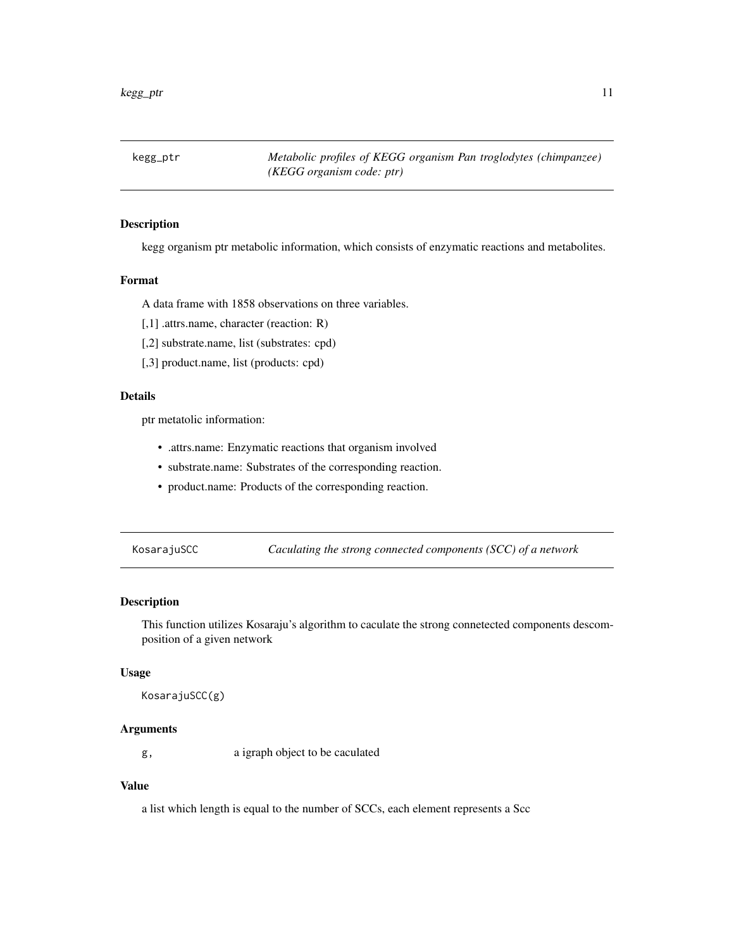<span id="page-10-0"></span>kegg\_ptr *Metabolic profiles of KEGG organism Pan troglodytes (chimpanzee) (KEGG organism code: ptr)*

## Description

kegg organism ptr metabolic information, which consists of enzymatic reactions and metabolites.

#### Format

A data frame with 1858 observations on three variables.

[,1] .attrs.name, character (reaction: R)

[,2] substrate.name, list (substrates: cpd)

[,3] product.name, list (products: cpd)

## Details

ptr metatolic information:

- .attrs.name: Enzymatic reactions that organism involved
- substrate.name: Substrates of the corresponding reaction.
- product.name: Products of the corresponding reaction.

<span id="page-10-1"></span>KosarajuSCC *Caculating the strong connected components (SCC) of a network*

## Description

This function utilizes Kosaraju's algorithm to caculate the strong connetected components descomposition of a given network

#### Usage

```
KosarajuSCC(g)
```
#### Arguments

g, a igraph object to be caculated

## Value

a list which length is equal to the number of SCCs, each element represents a Scc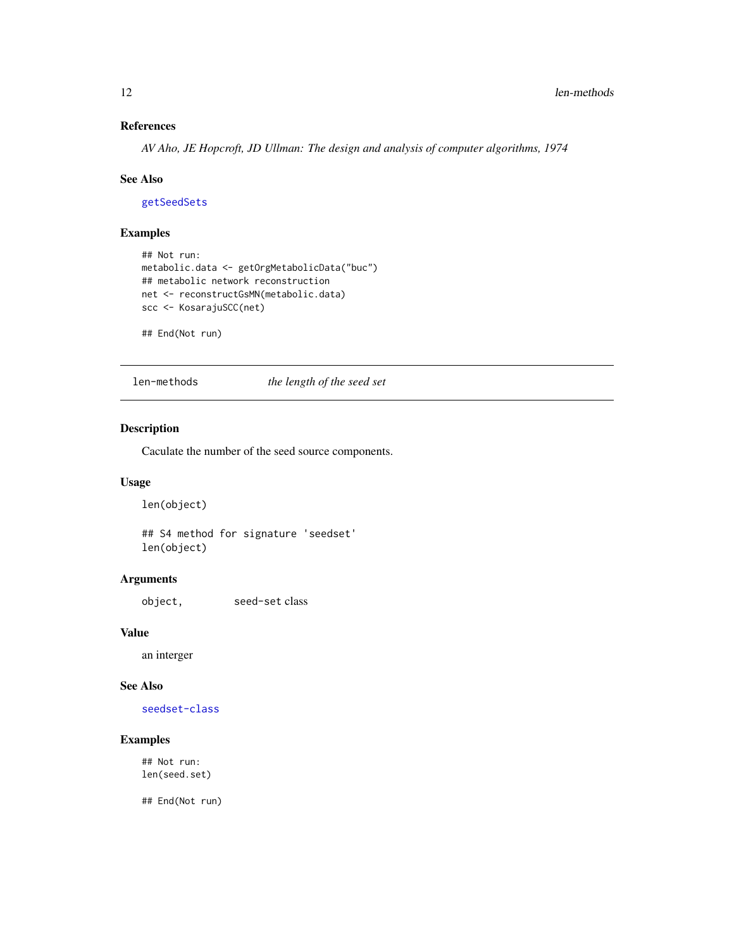## <span id="page-11-0"></span>References

*AV Aho, JE Hopcroft, JD Ullman: The design and analysis of computer algorithms, 1974*

#### See Also

[getSeedSets](#page-6-1)

## Examples

```
## Not run:
metabolic.data <- getOrgMetabolicData("buc")
## metabolic network reconstruction
net <- reconstructGsMN(metabolic.data)
scc <- KosarajuSCC(net)
```
## End(Not run)

len-methods *the length of the seed set*

## <span id="page-11-1"></span>Description

Caculate the number of the seed source components.

#### Usage

len(object)

## S4 method for signature 'seedset' len(object)

## Arguments

object, seed-set class

## Value

an interger

## See Also

[seedset-class](#page-15-1)

## Examples

## Not run: len(seed.set)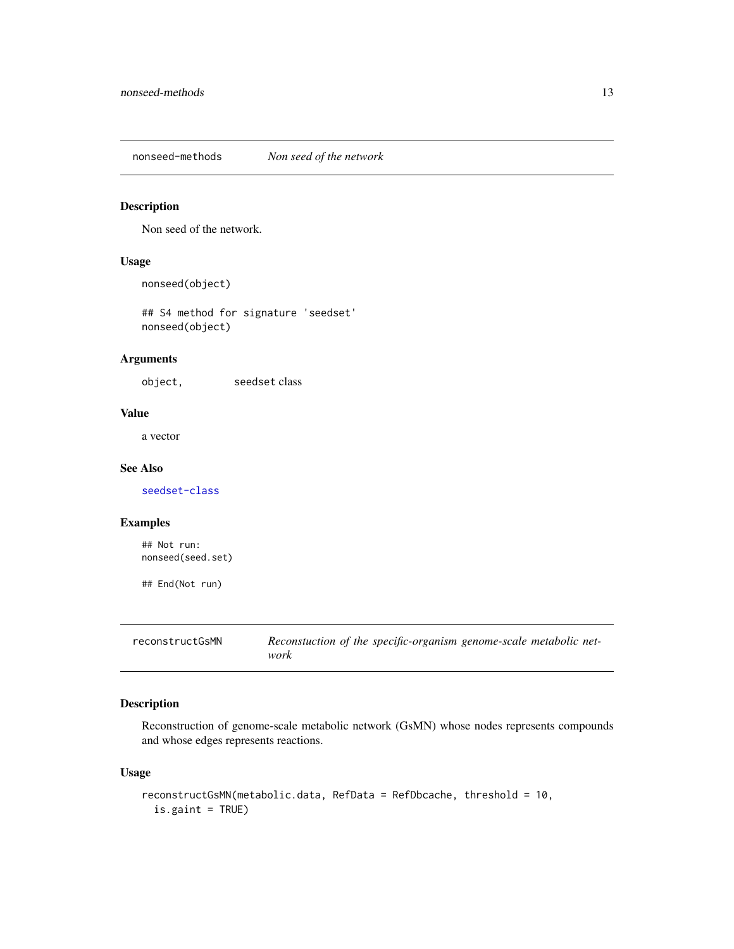<span id="page-12-0"></span>nonseed-methods *Non seed of the network*

## <span id="page-12-2"></span>Description

Non seed of the network.

## Usage

nonseed(object)

## S4 method for signature 'seedset' nonseed(object)

## Arguments

object, seedset class

#### Value

a vector

#### See Also

[seedset-class](#page-15-1)

#### Examples

## Not run: nonseed(seed.set)

## End(Not run)

<span id="page-12-1"></span>reconstructGsMN *Reconstuction of the specific-organism genome-scale metabolic network*

## Description

Reconstruction of genome-scale metabolic network (GsMN) whose nodes represents compounds and whose edges represents reactions.

## Usage

```
reconstructGsMN(metabolic.data, RefData = RefDbcache, threshold = 10,
  is.gaint = TRUE)
```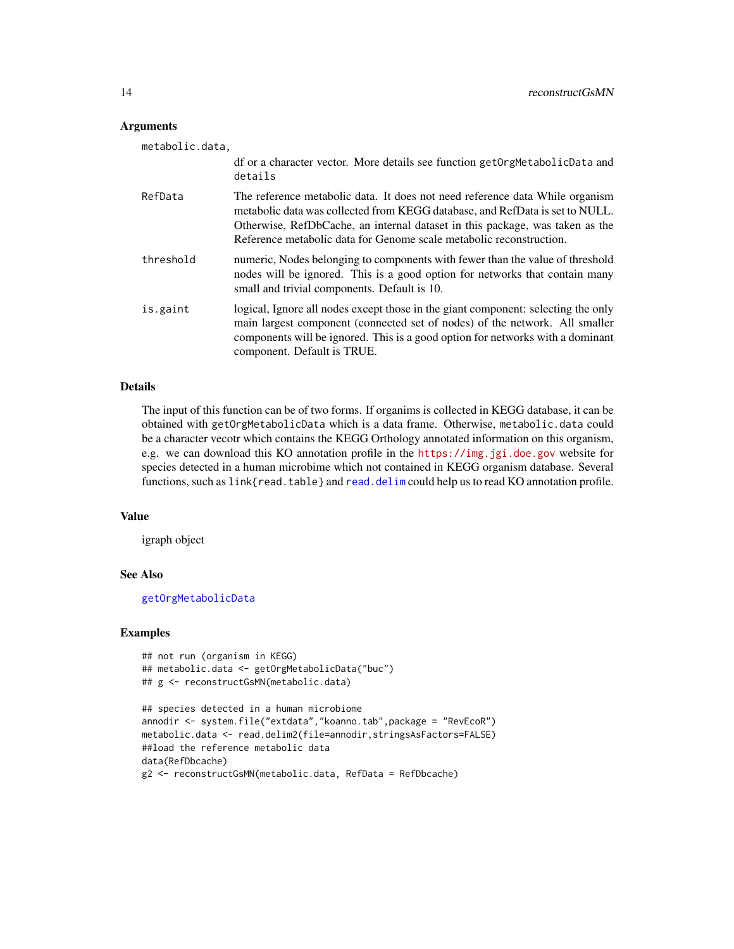#### <span id="page-13-0"></span>Arguments

| metabolic.data. |                                                                                                                                                                                                                                                                                                                     |
|-----------------|---------------------------------------------------------------------------------------------------------------------------------------------------------------------------------------------------------------------------------------------------------------------------------------------------------------------|
|                 | df or a character vector. More details see function get OrgMetabolicData and<br>details                                                                                                                                                                                                                             |
| RefData         | The reference metabolic data. It does not need reference data While organism<br>metabolic data was collected from KEGG database, and RefData is set to NULL.<br>Otherwise, RefDbCache, an internal dataset in this package, was taken as the<br>Reference metabolic data for Genome scale metabolic reconstruction. |
| threshold       | numeric, Nodes belonging to components with fewer than the value of threshold<br>nodes will be ignored. This is a good option for networks that contain many<br>small and trivial components. Default is 10.                                                                                                        |
| is.gaint        | logical, Ignore all nodes except those in the giant component: selecting the only<br>main largest component (connected set of nodes) of the network. All smaller<br>components will be ignored. This is a good option for networks with a dominant<br>component. Default is TRUE.                                   |

#### Details

The input of this function can be of two forms. If organims is collected in KEGG database, it can be obtained with getOrgMetabolicData which is a data frame. Otherwise, metabolic.data could be a character vecotr which contains the KEGG Orthology annotated information on this organism, e.g. we can download this KO annotation profile in the <https://img.jgi.doe.gov> website for species detected in a human microbime which not contained in KEGG organism database. Several functions, such as link{read.table} and [read.delim](#page-0-0) could help us to read KO annotation profile.

#### Value

igraph object

#### See Also

[getOrgMetabolicData](#page-5-1)

#### Examples

```
## not run (organism in KEGG)
## metabolic.data <- getOrgMetabolicData("buc")
## g <- reconstructGsMN(metabolic.data)
## species detected in a human microbiome
annodir <- system.file("extdata","koanno.tab",package = "RevEcoR")
metabolic.data <- read.delim2(file=annodir,stringsAsFactors=FALSE)
##load the reference metabolic data
data(RefDbcache)
```

```
g2 <- reconstructGsMN(metabolic.data, RefData = RefDbcache)
```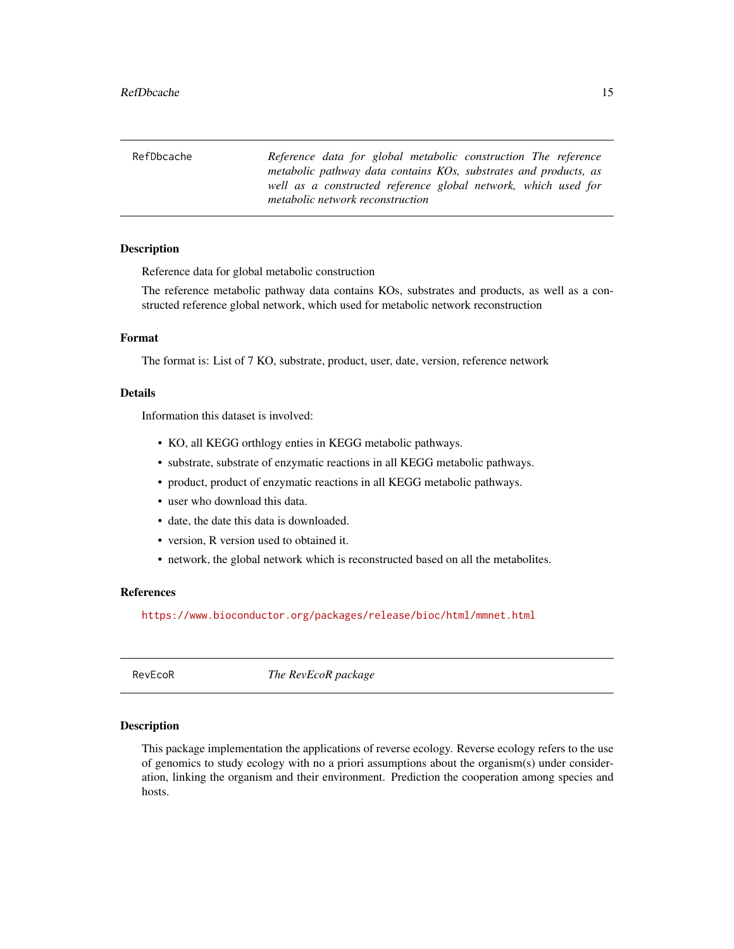<span id="page-14-0"></span>

| RefDbcache | Reference data for global metabolic construction The reference   |
|------------|------------------------------------------------------------------|
|            | metabolic pathway data contains KOs, substrates and products, as |
|            | well as a constructed reference global network, which used for   |
|            | metabolic network reconstruction                                 |

#### Description

Reference data for global metabolic construction

The reference metabolic pathway data contains KOs, substrates and products, as well as a constructed reference global network, which used for metabolic network reconstruction

#### Format

The format is: List of 7 KO, substrate, product, user, date, version, reference network

## Details

Information this dataset is involved:

- KO, all KEGG orthlogy enties in KEGG metabolic pathways.
- substrate, substrate of enzymatic reactions in all KEGG metabolic pathways.
- product, product of enzymatic reactions in all KEGG metabolic pathways.
- user who download this data.
- date, the date this data is downloaded.
- version, R version used to obtained it.
- network, the global network which is reconstructed based on all the metabolites.

#### References

<https://www.bioconductor.org/packages/release/bioc/html/mmnet.html>

RevEcoR *The RevEcoR package*

#### **Description**

This package implementation the applications of reverse ecology. Reverse ecology refers to the use of genomics to study ecology with no a priori assumptions about the organism(s) under consideration, linking the organism and their environment. Prediction the cooperation among species and hosts.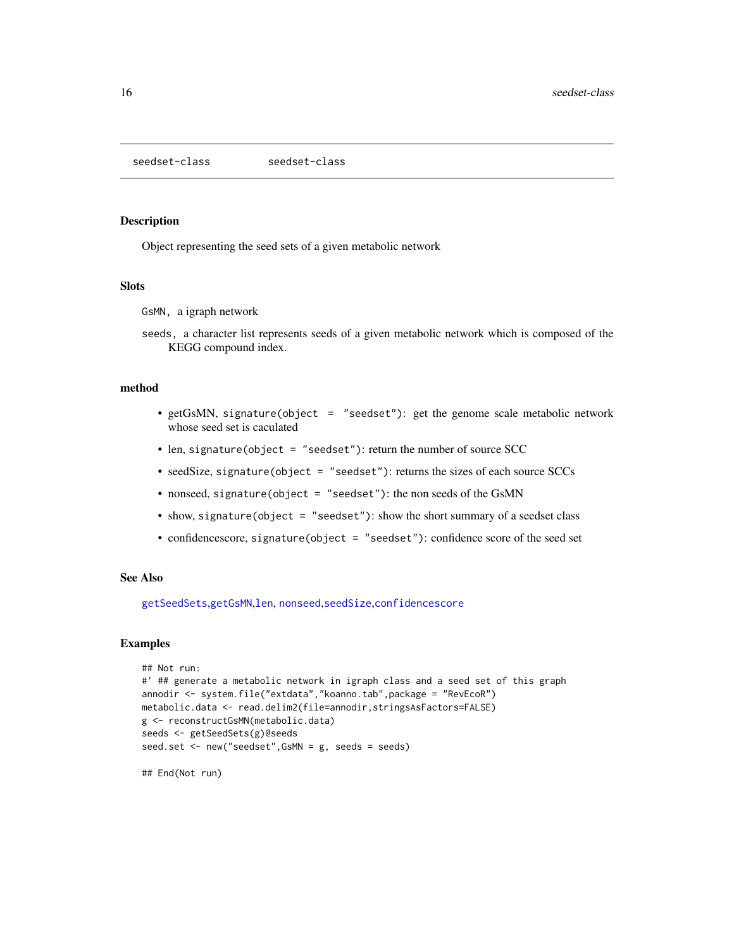<span id="page-15-1"></span><span id="page-15-0"></span>seedset-class seedset-class

#### Description

Object representing the seed sets of a given metabolic network

#### Slots

GsMN, a igraph network

seeds, a character list represents seeds of a given metabolic network which is composed of the KEGG compound index.

#### method

- getGsMN, signature(object = "seedset"): get the genome scale metabolic network whose seed set is caculated
- len, signature(object = "seedset"): return the number of source SCC
- seedSize, signature(object = "seedset"): returns the sizes of each source SCCs
- nonseed, signature(object = "seedset"): the non seeds of the GsMN
- show, signature(object = "seedset"): show the short summary of a seedset class
- confidencescore, signature(object = "seedset"): confidence score of the seed set

#### See Also

[getSeedSets](#page-6-1),[getGsMN](#page-5-2),[len](#page-11-1), [nonseed](#page-12-2),[seedSize](#page-16-1),[confidencescore](#page-4-1)

#### Examples

```
## Not run:
#' ## generate a metabolic network in igraph class and a seed set of this graph
annodir <- system.file("extdata","koanno.tab",package = "RevEcoR")
metabolic.data <- read.delim2(file=annodir,stringsAsFactors=FALSE)
g <- reconstructGsMN(metabolic.data)
seeds <- getSeedSets(g)@seeds
seed.set <- new("seedset",GsMN = g, seeds = seeds)
```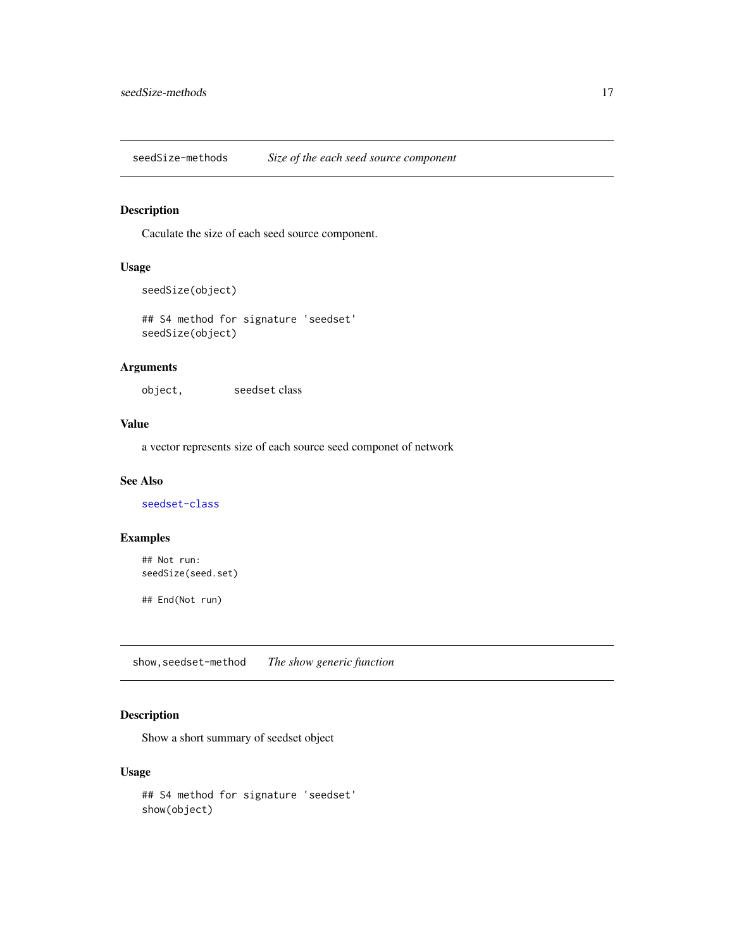<span id="page-16-0"></span>seedSize-methods *Size of the each seed source component*

## <span id="page-16-1"></span>Description

Caculate the size of each seed source component.

## Usage

```
seedSize(object)
```
## S4 method for signature 'seedset' seedSize(object)

## Arguments

object, seedset class

## Value

a vector represents size of each source seed componet of network

### See Also

[seedset-class](#page-15-1)

## Examples

## Not run: seedSize(seed.set)

## End(Not run)

show,seedset-method *The show generic function*

## Description

Show a short summary of seedset object

## Usage

```
## S4 method for signature 'seedset'
show(object)
```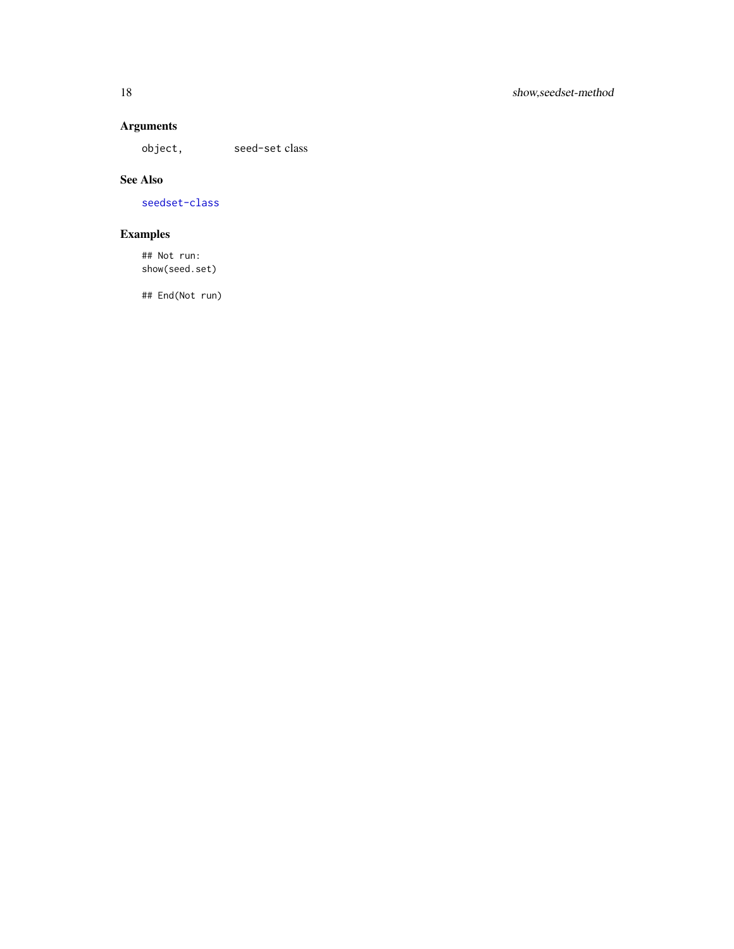## Arguments

object, seed-set class

## See Also

[seedset-class](#page-15-1)

## Examples

## Not run: show(seed.set)